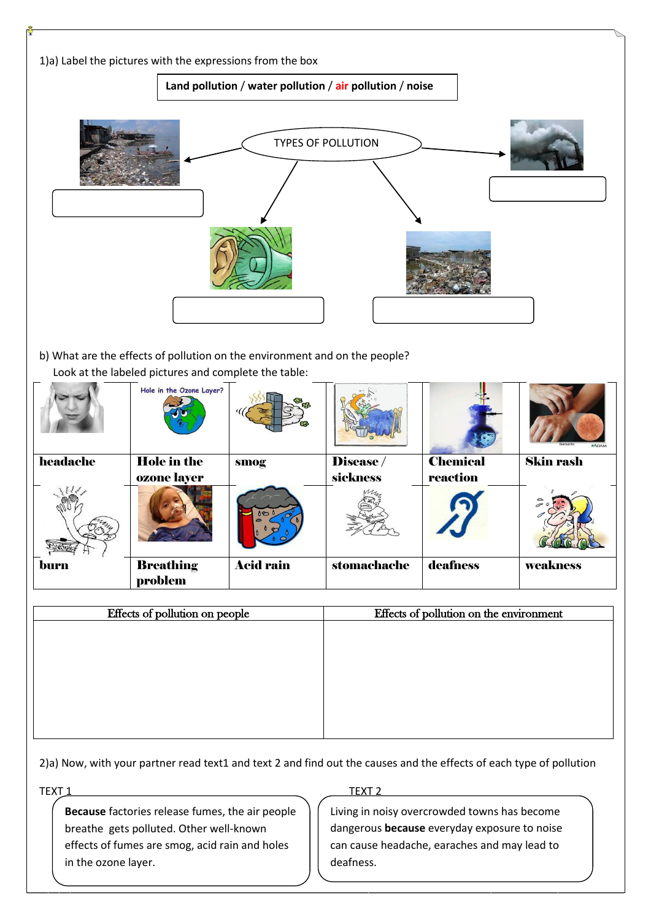

2)a) Now, with your partner read text1 and text 2 and find out the causes and the effects of each type of pollution

**Because** factories release fumes, the air people breathe gets polluted. Other well-known effects of fumes are smog, acid rain and holes in the ozone layer.

## TEXT <u>1 TEXT 2</u>

Living in noisy overcrowded towns has become dangerous **because** everyday exposure to noise can cause headache, earaches and may lead to deafness.